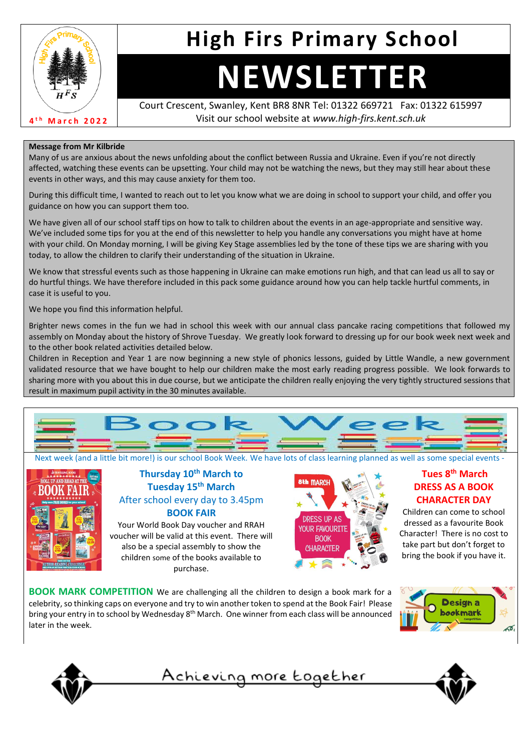

# **High Firs Primary School**

# **NEWSLETTER**

Court Crescent, Swanley, Kent BR8 8NR Tel: 01322 669721 Fax: 01322 615997 Visit our school website at *www.high-firs.kent.sch.uk*

#### **Message from Mr Kilbride**

Many of us are anxious about the news unfolding about the conflict between Russia and Ukraine. Even if you're not directly affected, watching these events can be upsetting. Your child may not be watching the news, but they may still hear about these events in other ways, and this may cause anxiety for them too.

During this difficult time, I wanted to reach out to let you know what we are doing in school to support your child, and offer you guidance on how you can support them too.

We have given all of our school staff tips on how to talk to children about the events in an age-appropriate and sensitive way. We've included some tips for you at the end of this newsletter to help you handle any conversations you might have at home with your child. On Monday morning, I will be giving Key Stage assemblies led by the tone of these tips we are sharing with you today, to allow the children to clarify their understanding of the situation in Ukraine.

We know that stressful events such as those happening in Ukraine can make emotions run high, and that can lead us all to say or do hurtful things. We have therefore included in this pack some guidance around how you can help tackle hurtful comments, in case it is useful to you.

We hope you find this information helpful.

Brighter news comes in the fun we had in school this week with our annual class pancake racing competitions that followed my assembly on Monday about the history of Shrove Tuesday. We greatly look forward to dressing up for our book week next week and to the other book related activities detailed below.

Children in Reception and Year 1 are now beginning a new style of phonics lessons, guided by Little Wandle, a new government validated resource that we have bought to help our children make the most early reading progress possible. We look forwards to sharing more with you about this in due course, but we anticipate the children really enjoying the very tightly structured sessions that result in maximum pupil activity in the 30 minutes available.



Next week (and a little bit more!) is our school Book Week. We have lots of class learning planned as well as some special events -



#### **Thursday 10th March to Tuesday 15th March** After school every day to 3.45pm **BOOK FAIR**

Your World Book Day voucher and RRAH voucher will be valid at this event. There will also be a special assembly to show the children some of the books available to purchase.



### **Tues 8th March DRESS AS A BOOK CHARACTER DAY**

Children can come to school dressed as a favourite Book Character! There is no cost to take part but don't forget to bring the book if you have it.

**BOOK MARK COMPETITION** We are challenging all the children to design a book mark for a celebrity, so thinking caps on everyone and try to win another token to spend at the Book Fair! Please bring your entry in to school by Wednesday 8<sup>th</sup> March. One winner from each class will be announced later in the week.







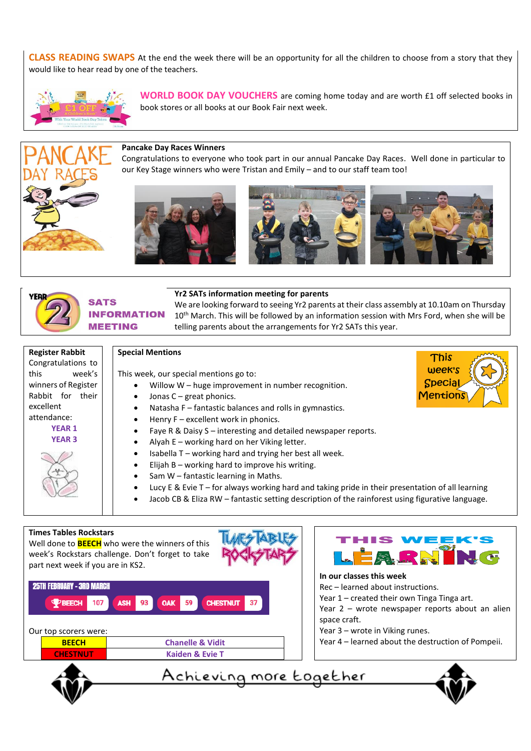**CLASS READING SWAPS** At the end the week there will be an opportunity for all the children to choose from a story that they would like to hear read by one of the teachers.



**WORLD BOOK DAY VOUCHERS** are coming home today and are worth £1 off selected books in book stores or all books at our Book Fair next week.

#### **Pancake Day Races Winners**

Congratulations to everyone who took part in our annual Pancake Day Races. Well done in particular to our Key Stage winners who were Tristan and Emily – and to our staff team too!









#### **Yr2 SATs information meeting for parents**

We are looking forward to seeing Yr2 parents at their class assembly at 10.10am on Thursday 10<sup>th</sup> March. This will be followed by an information session with Mrs Ford, when she will be telling parents about the arrangements for Yr2 SATs this year.

| Register Rabbit     |  |        |
|---------------------|--|--------|
| Congratulations to  |  |        |
| this                |  | week's |
| winners of Register |  |        |
| Rabbit for their    |  |        |
| excellent           |  |        |
| attendance:         |  |        |
| <b>YEAR 1</b>       |  |        |
| <b>YEAR 3</b>       |  |        |
|                     |  |        |

#### **Special Mentions**

This week, our special mentions go to:

- Willow W huge improvement in number recognition.
- Jonas C great phonics.
	- Natasha F fantastic balances and rolls in gymnastics.
- Henry  $F$  excellent work in phonics.
- Faye R & Daisy S interesting and detailed newspaper reports.
- Alyah E working hard on her Viking letter.
- Isabella T working hard and trying her best all week.
- Elijah B working hard to improve his writing.
- Sam W fantastic learning in Maths.
- Lucy E & Evie T for always working hard and taking pride in their presentation of all learning
- Jacob CB & Eliza RW fantastic setting description of the rainforest using figurative language.

#### **Times Tables Rockstars**

Well done to **BEECH** who were the winners of this week's Rockstars challenge. Don't forget to take part next week if you are in KS2.



| top scorers were. |                             |
|-------------------|-----------------------------|
| <b>BEECH</b>      | <b>Chanelle &amp; Vidit</b> |
| <b>CHESTNUT</b>   | <b>Kaiden &amp; Evie T</b>  |
|                   |                             |



This week's **Special Mentions** 

#### **In our classes this week**

Rec – learned about instructions.

- Year 1 created their own Tinga Tinga art.
- Year 2 wrote newspaper reports about an alien space craft.
- Year 3 wrote in Viking runes.
- Year 4 learned about the destruction of Pompeii.





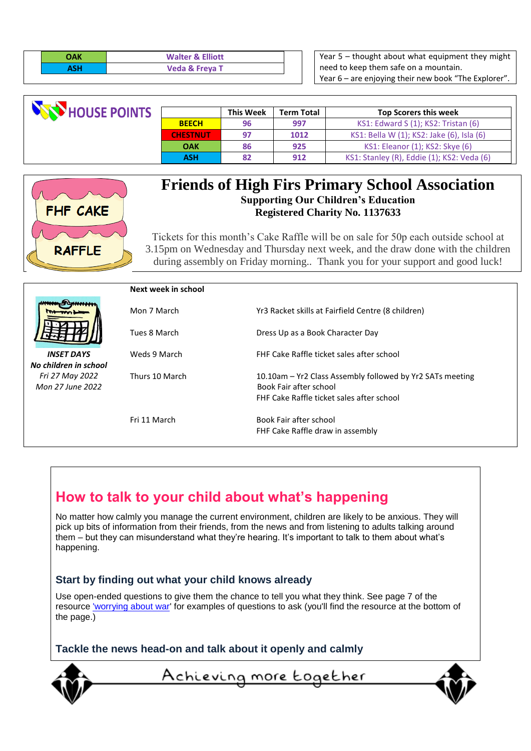| ΆК | <b>Walter &amp; Elliott</b> |  |
|----|-----------------------------|--|
|    | <b>Veda &amp; Freya T</b>   |  |

Year 5 – thought about what equipment they might need to keep them safe on a mountain. Year 6 – are enjoying their new book "The Explorer".

| <b>NATHOUSE POINTS</b> |                 | <b>This Week</b> | <b>Term Total</b> | <b>Top Scorers this week</b>               |
|------------------------|-----------------|------------------|-------------------|--------------------------------------------|
|                        | <b>BEECH</b>    | 96               | 997               | KS1: Edward S (1); KS2: Tristan (6)        |
|                        | <b>CHESTNUT</b> | 97               | 1012              | KS1: Bella W (1); KS2: Jake (6), Isla (6)  |
|                        | <b>OAK</b>      | 86               | 925               | KS1: Eleanor (1); KS2: Skye (6)            |
|                        | ASH             | 82               | 912               | KS1: Stanley (R), Eddie (1); KS2: Veda (6) |



# **Friends of High Firs Primary School Association Supporting Our Children's Education Registered Charity No. 1137633**

Tickets for this month's Cake Raffle will be on sale for 50p each outside school at 3.15pm on Wednesday and Thursday next week, and the draw done with the children during assembly on Friday morning.. Thank you for your support and good luck!

|                       | Next week in school |                                                           |
|-----------------------|---------------------|-----------------------------------------------------------|
|                       | Mon 7 March         | Yr3 Racket skills at Fairfield Centre (8 children)        |
|                       | Tues 8 March        | Dress Up as a Book Character Day                          |
| <b>INSET DAYS</b>     | Weds 9 March        | FHF Cake Raffle ticket sales after school                 |
| No children in school |                     |                                                           |
| Fri 27 May 2022       | Thurs 10 March      | 10.10am - Yr2 Class Assembly followed by Yr2 SATs meeting |
| Mon 27 June 2022      |                     | Book Fair after school                                    |
|                       |                     | FHF Cake Raffle ticket sales after school                 |
|                       |                     |                                                           |
|                       | Fri 11 March        | Book Fair after school                                    |
|                       |                     | FHF Cake Raffle draw in assembly                          |

# **How to talk to your child about what's happening**

No matter how calmly you manage the current environment, children are likely to be anxious. They will pick up bits of information from their friends, from the news and from listening to adults talking around them – but they can misunderstand what they're hearing. It's important to talk to them about what's happening.

## **Start by finding out what your child knows already**

Use open-ended questions to give them the chance to tell you what they think. See page 7 of the resource ['worrying about war'](https://www.phoenixgrouphq.com/tools) for examples of questions to ask (you'll find the resource at the bottom of the page.)

**Tackle the news head-on and talk about it openly and calmly**



Achieving more Eogether

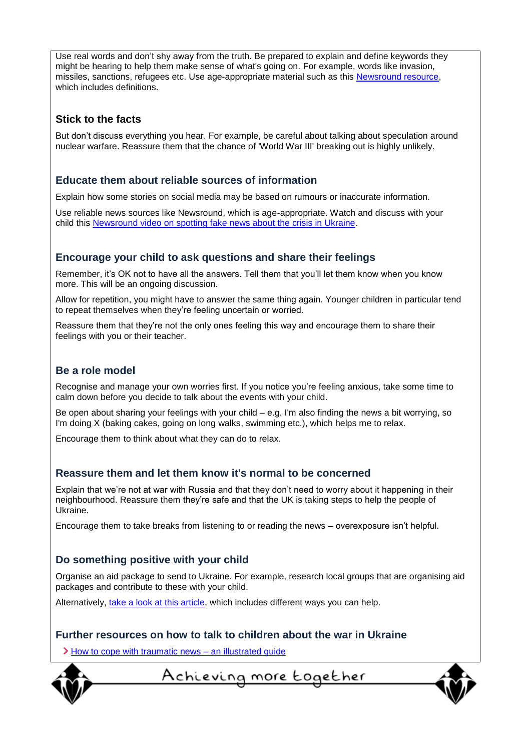Use real words and don't shy away from the truth. Be prepared to explain and define keywords they might be hearing to help them make sense of what's going on. For example, words like invasion, missiles, sanctions, refugees etc. Use age-appropriate material such as this [Newsround resource,](https://www.bbc.co.uk/newsround/60536983) which includes definitions.

#### **Stick to the facts**

But don't discuss everything you hear. For example, be careful about talking about speculation around nuclear warfare. Reassure them that the chance of 'World War III' breaking out is highly unlikely.

#### **Educate them about reliable sources of information**

Explain how some stories on social media may be based on rumours or inaccurate information.

Use reliable news sources like Newsround, which is age-appropriate. Watch and discuss with your child this [Newsround video on spotting fake news about the crisis in Ukraine.](https://www.bbc.co.uk/newsround/60568631)

#### **Encourage your child to ask questions and share their feelings**

Remember, it's OK not to have all the answers. Tell them that you'll let them know when you know more. This will be an ongoing discussion.

Allow for repetition, you might have to answer the same thing again. Younger children in particular tend to repeat themselves when they're feeling uncertain or worried.

Reassure them that they're not the only ones feeling this way and encourage them to share their feelings with you or their teacher.

#### **Be a role model**

Recognise and manage your own worries first. If you notice you're feeling anxious, take some time to calm down before you decide to talk about the events with your child.

Be open about sharing your feelings with your child – e.g. I'm also finding the news a bit worrying, so I'm doing X (baking cakes, going on long walks, swimming etc.), which helps me to relax.

Encourage them to think about what they can do to relax.

#### **Reassure them and let them know it's normal to be concerned**

Explain that we're not at war with Russia and that they don't need to worry about it happening in their neighbourhood. Reassure them they're safe and that the UK is taking steps to help the people of Ukraine.

Encourage them to take breaks from listening to or reading the news – overexposure isn't helpful.

#### **Do something positive with your child**

Organise an aid package to send to Ukraine. For example, research local groups that are organising aid packages and contribute to these with your child.

Alternatively, [take a look at this article,](https://www.globalcitizen.org/en/content/ways-to-help-ukraine-conflict/) which includes different ways you can help.

#### **Further resources on how to talk to children about the war in Ukraine**

[How to cope with traumatic news –](https://www.abc.net.au/news/2014-12-23/illustrated-guide-coping-traumatic-news/5985104?nw=0&r=HtmlFragment) an illustrated guide



<u>Achieving more together</u>

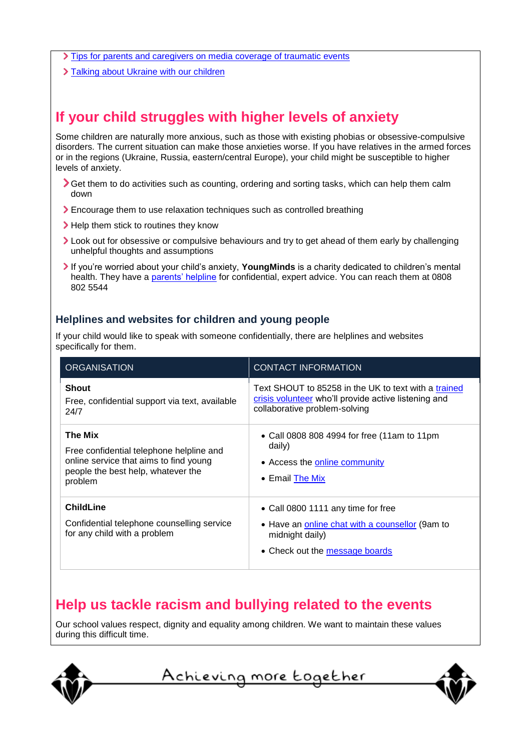- $\sum$  [Tips for parents and caregivers on media coverage of traumatic events](https://www.nctsn.org/resources/tips-parents-and-caregivers-media-coverage-traumatic-events)
- > [Talking about Ukraine with our children](https://draliza.bulletin.com/talking-about-ukraine-with-our-children/)

# **If your child struggles with higher levels of anxiety**

Some children are naturally more anxious, such as those with existing phobias or obsessive-compulsive disorders. The current situation can make those anxieties worse. If you have relatives in the armed forces or in the regions (Ukraine, Russia, eastern/central Europe), your child might be susceptible to higher levels of anxiety.

- Get them to do activities such as counting, ordering and sorting tasks, which can help them calm down
- Encourage them to use relaxation techniques such as controlled breathing
- > Help them stick to routines they know
- Look out for obsessive or compulsive behaviours and try to get ahead of them early by challenging unhelpful thoughts and assumptions
- If you're worried about your child's anxiety, **YoungMinds** is a charity dedicated to children's mental health. They have a [parents' helpline](https://youngminds.org.uk/find-help/for-parents/parents-helpline/) for confidential, expert advice. You can reach them at 0808 802 5544

#### **Helplines and websites for children and young people**

If your child would like to speak with someone confidentially, there are helplines and websites specifically for them.

| <b>ORGANISATION</b>                                                                                                                                   | <b>CONTACT INFORMATION</b>                                                                                                                    |
|-------------------------------------------------------------------------------------------------------------------------------------------------------|-----------------------------------------------------------------------------------------------------------------------------------------------|
| <b>Shout</b><br>Free, confidential support via text, available<br>24/7                                                                                | Text SHOUT to 85258 in the UK to text with a trained<br>crisis volunteer who'll provide active listening and<br>collaborative problem-solving |
| <b>The Mix</b><br>Free confidential telephone helpline and<br>online service that aims to find young<br>people the best help, whatever the<br>problem | • Call 0808 808 4994 for free (11am to 11pm<br>daily)<br>• Access the online community<br>$\bullet$ Email The Mix                             |
| <b>ChildLine</b><br>Confidential telephone counselling service<br>for any child with a problem                                                        | • Call 0800 1111 any time for free<br>• Have an online chat with a counsellor (9am to<br>midnight daily)<br>• Check out the message boards    |

# **Help us tackle racism and bullying related to the events**

Our school values respect, dignity and equality among children. We want to maintain these values during this difficult time.



<u>Achieving more together</u>